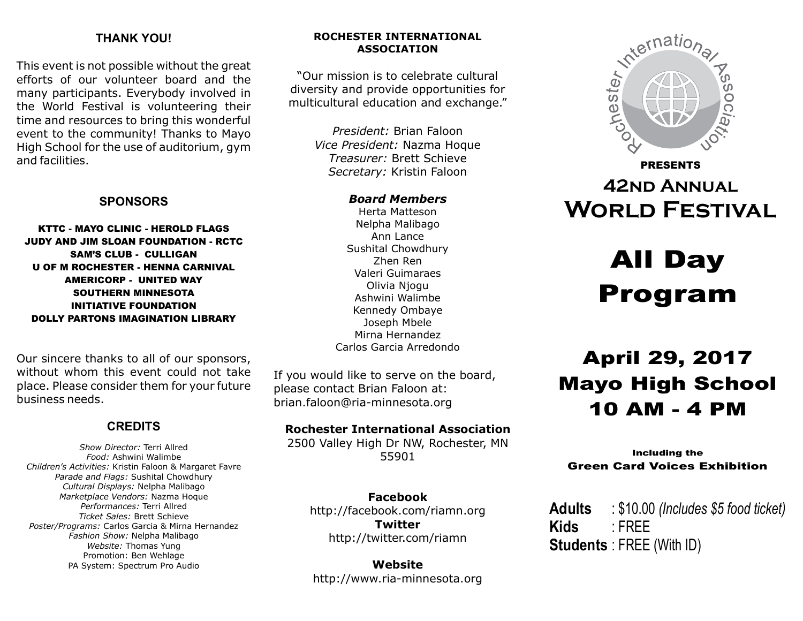### THANK YOU!

This event is not possible without the great efforts of our volunteer board and the many participants. Everybody involved in the World Festival is volunteering their time and resources to bring this wonderful event to the community! Thanks to Mayo High School for the use of auditorium, gym and facilities.

KTTC - MAYO CLINIC - HEROLD FLAGS JUDY AND JIM SLOAN FOUNDATION - RCTC SAM'S CLUB - CULLIGAN U OF M ROCHESTER - HENNA CARNIVAL AMERICORP - UNITED WAY SOUTHERN MINNESOTA INITIATIVE FOUNDATION DOLLY PARTONS IMAGINATION LIBRARY

Our sincere thanks to all of our sponsors, without whom this event could not take place. Please consider them for your future business needs.

Show Director: Terri Allred Food: Ashwini Walimbe Children's Activities: Kristin Faloon & Margaret Favre Parade and Flags: Sushital Chowdhury Cultural Displays: Nelpha Malibago Marketplace Vendors: Nazma Hoque Performances: Terri Allred Ticket Sales: Brett Schieve Poster/Programs: Carlos Garcia & Mirna Hernandez Fashion Show: Nelpha Malibago Website: Thomas Yung Promotion: Ben Wehlage PA System: Spectrum Pro Audio

## ASSOCIATION

"Our mission is to celebrate cultural diversity and provide opportunities for multicultural education and exchange."

> President: Brian Faloon Vice President: Nazma Hoque Treasurer: Brett Schieve Secretary: Kristin Faloon

### Board Members

**SPONSORS**<br>Herta Matteson<br>Herta Matteson Nelpha Malibago Ann Lance Sushital Chowdhury Zhen Ren Valeri Guimaraes Olivia Njogu Ashwini Walimbe Kennedy Ombaye Joseph Mbele Mirna Hernandez Carlos Garcia Arredondo

> If you would like to serve on the board, please contact Brian Faloon at: brian.faloon@ria-minnesota.org

## CREDITS Rochester International Association

2500 Valley High Dr NW, Rochester, MN 55901

> **Facebook**<br>ebook.com/riamn.org **Adults** http://facebook.com/riamn.org Twitter http://twitter.com/riamn

Website http://www.ria-minnesota.org



PRESENTS

## 42nd Annual bard Members<br>Herta Matteson **WORLD FESTIVAL**

# All Day Program

# April 29, 2017 Mayo High School 10 AM - 4 PM **All Day<br>
Program**<br> **oril 29, 2017<br>
o High School<br>
<b>) AM - 4 PM**<br> **card Voices Exhibition**<br>
: \$10.00 (Includes \$5 food ticket)<br>
: FREE<br>
: FREE (With ID)

Including the Green Card Voices Exhibition

: \$10.00 (Includes \$5 food ticket) Kids : FREE Students : FREE (With ID)